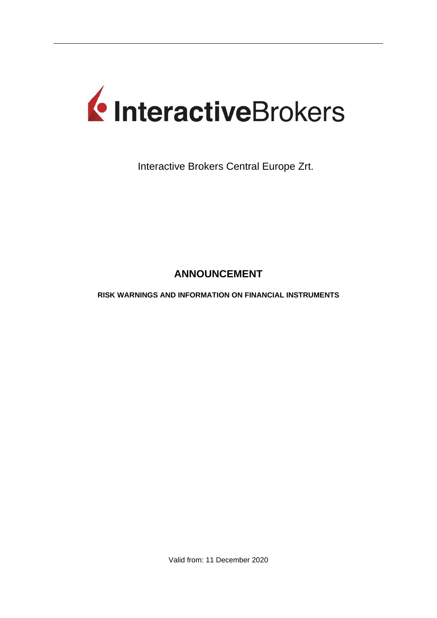# «InteractiveBrokers

Interactive Brokers Central Europe Zrt.

# **ANNOUNCEMENT**

**RISK WARNINGS AND INFORMATION ON FINANCIAL INSTRUMENTS**

Valid from: 11 December 2020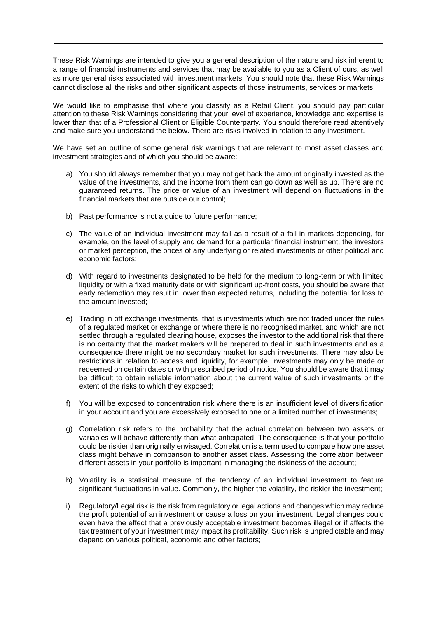These Risk Warnings are intended to give you a general description of the nature and risk inherent to a range of financial instruments and services that may be available to you as a Client of ours, as well as more general risks associated with investment markets. You should note that these Risk Warnings cannot disclose all the risks and other significant aspects of those instruments, services or markets.

We would like to emphasise that where you classify as a Retail Client, you should pay particular attention to these Risk Warnings considering that your level of experience, knowledge and expertise is lower than that of a Professional Client or Eligible Counterparty. You should therefore read attentively and make sure you understand the below. There are risks involved in relation to any investment.

We have set an outline of some general risk warnings that are relevant to most asset classes and investment strategies and of which you should be aware:

- a) You should always remember that you may not get back the amount originally invested as the value of the investments, and the income from them can go down as well as up. There are no guaranteed returns. The price or value of an investment will depend on fluctuations in the financial markets that are outside our control;
- b) Past performance is not a guide to future performance;
- c) The value of an individual investment may fall as a result of a fall in markets depending, for example, on the level of supply and demand for a particular financial instrument, the investors or market perception, the prices of any underlying or related investments or other political and economic factors;
- d) With regard to investments designated to be held for the medium to long-term or with limited liquidity or with a fixed maturity date or with significant up-front costs, you should be aware that early redemption may result in lower than expected returns, including the potential for loss to the amount invested;
- e) Trading in off exchange investments, that is investments which are not traded under the rules of a regulated market or exchange or where there is no recognised market, and which are not settled through a regulated clearing house, exposes the investor to the additional risk that there is no certainty that the market makers will be prepared to deal in such investments and as a consequence there might be no secondary market for such investments. There may also be restrictions in relation to access and liquidity, for example, investments may only be made or redeemed on certain dates or with prescribed period of notice. You should be aware that it may be difficult to obtain reliable information about the current value of such investments or the extent of the risks to which they exposed;
- f) You will be exposed to concentration risk where there is an insufficient level of diversification in your account and you are excessively exposed to one or a limited number of investments;
- g) Correlation risk refers to the probability that the actual correlation between two assets or variables will behave differently than what anticipated. The consequence is that your portfolio could be riskier than originally envisaged. Correlation is a term used to compare how one asset class might behave in comparison to another asset class. Assessing the correlation between different assets in your portfolio is important in managing the riskiness of the account;
- h) Volatility is a statistical measure of the tendency of an individual investment to feature significant fluctuations in value. Commonly, the higher the volatility, the riskier the investment;
- i) Regulatory/Legal risk is the risk from regulatory or legal actions and changes which may reduce the profit potential of an investment or cause a loss on your investment. Legal changes could even have the effect that a previously acceptable investment becomes illegal or if affects the tax treatment of your investment may impact its profitability. Such risk is unpredictable and may depend on various political, economic and other factors;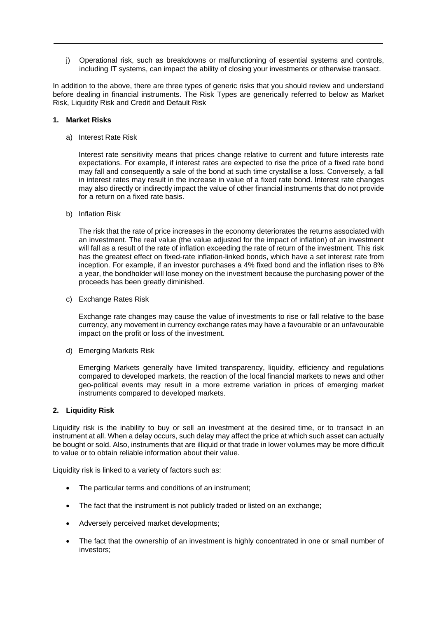j) Operational risk, such as breakdowns or malfunctioning of essential systems and controls, including IT systems, can impact the ability of closing your investments or otherwise transact.

In addition to the above, there are three types of generic risks that you should review and understand before dealing in financial instruments. The Risk Types are generically referred to below as Market Risk, Liquidity Risk and Credit and Default Risk

### **1. Market Risks**

a) Interest Rate Risk

Interest rate sensitivity means that prices change relative to current and future interests rate expectations. For example, if interest rates are expected to rise the price of a fixed rate bond may fall and consequently a sale of the bond at such time crystallise a loss. Conversely, a fall in interest rates may result in the increase in value of a fixed rate bond. Interest rate changes may also directly or indirectly impact the value of other financial instruments that do not provide for a return on a fixed rate basis.

b) Inflation Risk

The risk that the rate of price increases in the economy deteriorates the returns associated with an investment. The real value (the value adjusted for the impact of inflation) of an investment will fall as a result of the rate of inflation exceeding the rate of return of the investment. This risk has the greatest effect on fixed-rate inflation-linked bonds, which have a set interest rate from inception. For example, if an investor purchases a 4% fixed bond and the inflation rises to 8% a year, the bondholder will lose money on the investment because the purchasing power of the proceeds has been greatly diminished.

c) Exchange Rates Risk

Exchange rate changes may cause the value of investments to rise or fall relative to the base currency, any movement in currency exchange rates may have a favourable or an unfavourable impact on the profit or loss of the investment.

d) Emerging Markets Risk

Emerging Markets generally have limited transparency, liquidity, efficiency and regulations compared to developed markets, the reaction of the local financial markets to news and other geo-political events may result in a more extreme variation in prices of emerging market instruments compared to developed markets.

# **2. Liquidity Risk**

Liquidity risk is the inability to buy or sell an investment at the desired time, or to transact in an instrument at all. When a delay occurs, such delay may affect the price at which such asset can actually be bought or sold. Also, instruments that are illiquid or that trade in lower volumes may be more difficult to value or to obtain reliable information about their value.

Liquidity risk is linked to a variety of factors such as:

- The particular terms and conditions of an instrument:
- The fact that the instrument is not publicly traded or listed on an exchange;
- Adversely perceived market developments;
- The fact that the ownership of an investment is highly concentrated in one or small number of investors;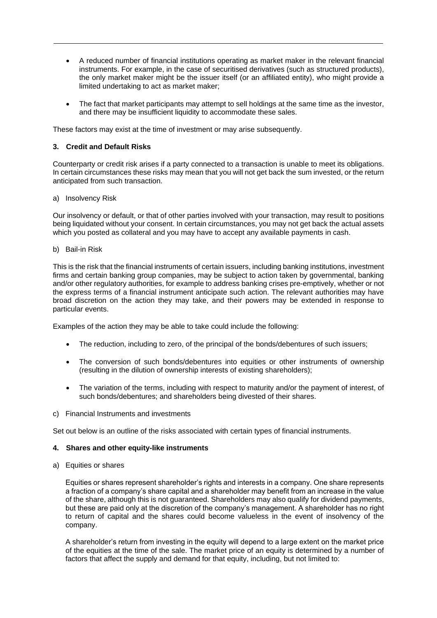- A reduced number of financial institutions operating as market maker in the relevant financial instruments. For example, in the case of securitised derivatives (such as structured products), the only market maker might be the issuer itself (or an affiliated entity), who might provide a limited undertaking to act as market maker;
- The fact that market participants may attempt to sell holdings at the same time as the investor, and there may be insufficient liquidity to accommodate these sales.

These factors may exist at the time of investment or may arise subsequently.

# **3. Credit and Default Risks**

Counterparty or credit risk arises if a party connected to a transaction is unable to meet its obligations. In certain circumstances these risks may mean that you will not get back the sum invested, or the return anticipated from such transaction.

### a) Insolvency Risk

Our insolvency or default, or that of other parties involved with your transaction, may result to positions being liquidated without your consent. In certain circumstances, you may not get back the actual assets which you posted as collateral and you may have to accept any available payments in cash.

b) Bail-in Risk

This is the risk that the financial instruments of certain issuers, including banking institutions, investment firms and certain banking group companies, may be subject to action taken by governmental, banking and/or other regulatory authorities, for example to address banking crises pre-emptively, whether or not the express terms of a financial instrument anticipate such action. The relevant authorities may have broad discretion on the action they may take, and their powers may be extended in response to particular events.

Examples of the action they may be able to take could include the following:

- The reduction, including to zero, of the principal of the bonds/debentures of such issuers;
- The conversion of such bonds/debentures into equities or other instruments of ownership (resulting in the dilution of ownership interests of existing shareholders);
- The variation of the terms, including with respect to maturity and/or the payment of interest, of such bonds/debentures; and shareholders being divested of their shares.
- c) Financial Instruments and investments

Set out below is an outline of the risks associated with certain types of financial instruments.

# **4. Shares and other equity-like instruments**

a) Equities or shares

Equities or shares represent shareholder's rights and interests in a company. One share represents a fraction of a company's share capital and a shareholder may benefit from an increase in the value of the share, although this is not guaranteed. Shareholders may also qualify for dividend payments, but these are paid only at the discretion of the company's management. A shareholder has no right to return of capital and the shares could become valueless in the event of insolvency of the company.

A shareholder's return from investing in the equity will depend to a large extent on the market price of the equities at the time of the sale. The market price of an equity is determined by a number of factors that affect the supply and demand for that equity, including, but not limited to: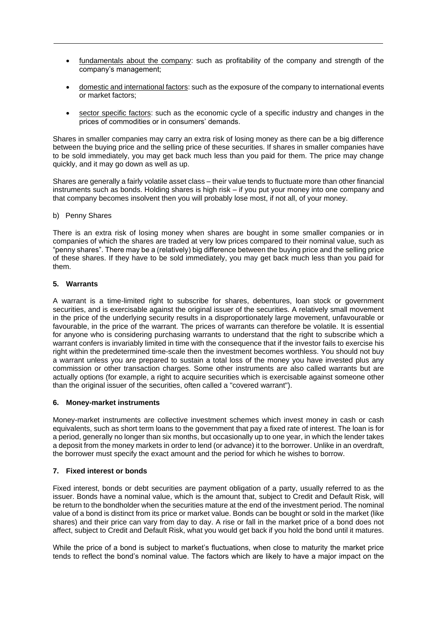- fundamentals about the company: such as profitability of the company and strength of the company's management;
- domestic and international factors: such as the exposure of the company to international events or market factors;
- sector specific factors: such as the economic cycle of a specific industry and changes in the prices of commodities or in consumers' demands.

Shares in smaller companies may carry an extra risk of losing money as there can be a big difference between the buying price and the selling price of these securities. If shares in smaller companies have to be sold immediately, you may get back much less than you paid for them. The price may change quickly, and it may go down as well as up.

Shares are generally a fairly volatile asset class – their value tends to fluctuate more than other financial instruments such as bonds. Holding shares is high risk – if you put your money into one company and that company becomes insolvent then you will probably lose most, if not all, of your money.

### b) Penny Shares

There is an extra risk of losing money when shares are bought in some smaller companies or in companies of which the shares are traded at very low prices compared to their nominal value, such as "penny shares". There may be a (relatively) big difference between the buying price and the selling price of these shares. If they have to be sold immediately, you may get back much less than you paid for them.

# **5. Warrants**

A warrant is a time-limited right to subscribe for shares, debentures, loan stock or government securities, and is exercisable against the original issuer of the securities. A relatively small movement in the price of the underlying security results in a disproportionately large movement, unfavourable or favourable, in the price of the warrant. The prices of warrants can therefore be volatile. It is essential for anyone who is considering purchasing warrants to understand that the right to subscribe which a warrant confers is invariably limited in time with the consequence that if the investor fails to exercise his right within the predetermined time-scale then the investment becomes worthless. You should not buy a warrant unless you are prepared to sustain a total loss of the money you have invested plus any commission or other transaction charges. Some other instruments are also called warrants but are actually options (for example, a right to acquire securities which is exercisable against someone other than the original issuer of the securities, often called a "covered warrant").

#### **6. Money-market instruments**

Money-market instruments are collective investment schemes which invest money in cash or cash equivalents, such as short term loans to the government that pay a fixed rate of interest. The loan is for a period, generally no longer than six months, but occasionally up to one year, in which the lender takes a deposit from the money markets in order to lend (or advance) it to the borrower. Unlike in an overdraft, the borrower must specify the exact amount and the period for which he wishes to borrow.

# **7. Fixed interest or bonds**

Fixed interest, bonds or debt securities are payment obligation of a party, usually referred to as the issuer. Bonds have a nominal value, which is the amount that, subject to Credit and Default Risk, will be return to the bondholder when the securities mature at the end of the investment period. The nominal value of a bond is distinct from its price or market value. Bonds can be bought or sold in the market (like shares) and their price can vary from day to day. A rise or fall in the market price of a bond does not affect, subject to Credit and Default Risk, what you would get back if you hold the bond until it matures.

While the price of a bond is subject to market's fluctuations, when close to maturity the market price tends to reflect the bond's nominal value. The factors which are likely to have a major impact on the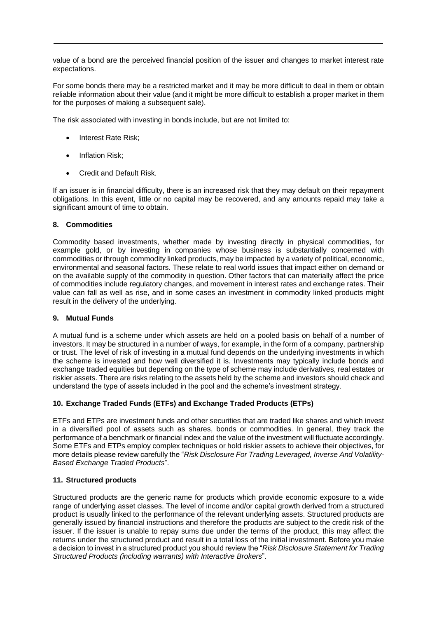value of a bond are the perceived financial position of the issuer and changes to market interest rate expectations.

For some bonds there may be a restricted market and it may be more difficult to deal in them or obtain reliable information about their value (and it might be more difficult to establish a proper market in them for the purposes of making a subsequent sale).

The risk associated with investing in bonds include, but are not limited to:

- Interest Rate Risk;
- Inflation Risk;
- Credit and Default Risk.

If an issuer is in financial difficulty, there is an increased risk that they may default on their repayment obligations. In this event, little or no capital may be recovered, and any amounts repaid may take a significant amount of time to obtain.

### **8. Commodities**

Commodity based investments, whether made by investing directly in physical commodities, for example gold, or by investing in companies whose business is substantially concerned with commodities or through commodity linked products, may be impacted by a variety of political, economic, environmental and seasonal factors. These relate to real world issues that impact either on demand or on the available supply of the commodity in question. Other factors that can materially affect the price of commodities include regulatory changes, and movement in interest rates and exchange rates. Their value can fall as well as rise, and in some cases an investment in commodity linked products might result in the delivery of the underlying.

#### **9. Mutual Funds**

A mutual fund is a scheme under which assets are held on a pooled basis on behalf of a number of investors. It may be structured in a number of ways, for example, in the form of a company, partnership or trust. The level of risk of investing in a mutual fund depends on the underlying investments in which the scheme is invested and how well diversified it is. Investments may typically include bonds and exchange traded equities but depending on the type of scheme may include derivatives, real estates or riskier assets. There are risks relating to the assets held by the scheme and investors should check and understand the type of assets included in the pool and the scheme's investment strategy.

# **10. Exchange Traded Funds (ETFs) and Exchange Traded Products (ETPs)**

ETFs and ETPs are investment funds and other securities that are traded like shares and which invest in a diversified pool of assets such as shares, bonds or commodities. In general, they track the performance of a benchmark or financial index and the value of the investment will fluctuate accordingly. Some ETFs and ETPs employ complex techniques or hold riskier assets to achieve their objectives, for more details please review carefully the "*Risk Disclosure For Trading Leveraged, Inverse And Volatility-Based Exchange Traded Products*".

# **11. Structured products**

Structured products are the generic name for products which provide economic exposure to a wide range of underlying asset classes. The level of income and/or capital growth derived from a structured product is usually linked to the performance of the relevant underlying assets. Structured products are generally issued by financial instructions and therefore the products are subject to the credit risk of the issuer. If the issuer is unable to repay sums due under the terms of the product, this may affect the returns under the structured product and result in a total loss of the initial investment. Before you make a decision to invest in a structured product you should review the "*Risk Disclosure Statement for Trading Structured Products (including warrants) with Interactive Brokers*".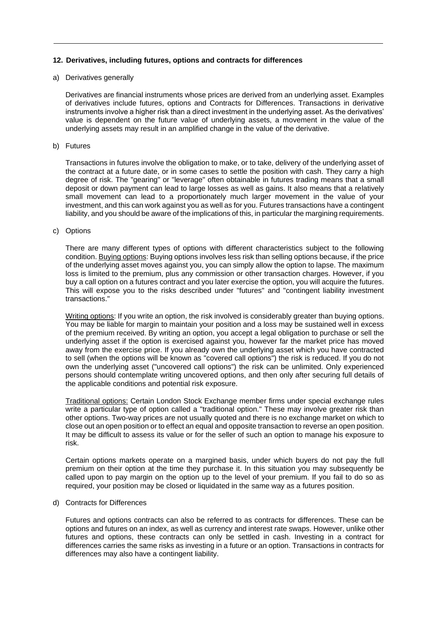## **12. Derivatives, including futures, options and contracts for differences**

#### a) Derivatives generally

Derivatives are financial instruments whose prices are derived from an underlying asset. Examples of derivatives include futures, options and Contracts for Differences. Transactions in derivative instruments involve a higher risk than a direct investment in the underlying asset. As the derivatives' value is dependent on the future value of underlying assets, a movement in the value of the underlying assets may result in an amplified change in the value of the derivative.

#### b) Futures

Transactions in futures involve the obligation to make, or to take, delivery of the underlying asset of the contract at a future date, or in some cases to settle the position with cash. They carry a high degree of risk. The "gearing" or "leverage" often obtainable in futures trading means that a small deposit or down payment can lead to large losses as well as gains. It also means that a relatively small movement can lead to a proportionately much larger movement in the value of your investment, and this can work against you as well as for you. Futures transactions have a contingent liability, and you should be aware of the implications of this, in particular the margining requirements.

#### c) Options

There are many different types of options with different characteristics subject to the following condition. Buying options: Buying options involves less risk than selling options because, if the price of the underlying asset moves against you, you can simply allow the option to lapse. The maximum loss is limited to the premium, plus any commission or other transaction charges. However, if you buy a call option on a futures contract and you later exercise the option, you will acquire the futures. This will expose you to the risks described under "futures" and "contingent liability investment transactions."

Writing options: If you write an option, the risk involved is considerably greater than buying options. You may be liable for margin to maintain your position and a loss may be sustained well in excess of the premium received. By writing an option, you accept a legal obligation to purchase or sell the underlying asset if the option is exercised against you, however far the market price has moved away from the exercise price. If you already own the underlying asset which you have contracted to sell (when the options will be known as "covered call options") the risk is reduced. If you do not own the underlying asset ("uncovered call options") the risk can be unlimited. Only experienced persons should contemplate writing uncovered options, and then only after securing full details of the applicable conditions and potential risk exposure.

Traditional options: Certain London Stock Exchange member firms under special exchange rules write a particular type of option called a "traditional option." These may involve greater risk than other options. Two-way prices are not usually quoted and there is no exchange market on which to close out an open position or to effect an equal and opposite transaction to reverse an open position. It may be difficult to assess its value or for the seller of such an option to manage his exposure to risk.

Certain options markets operate on a margined basis, under which buyers do not pay the full premium on their option at the time they purchase it. In this situation you may subsequently be called upon to pay margin on the option up to the level of your premium. If you fail to do so as required, your position may be closed or liquidated in the same way as a futures position.

#### d) Contracts for Differences

Futures and options contracts can also be referred to as contracts for differences. These can be options and futures on an index, as well as currency and interest rate swaps. However, unlike other futures and options, these contracts can only be settled in cash. Investing in a contract for differences carries the same risks as investing in a future or an option. Transactions in contracts for differences may also have a contingent liability.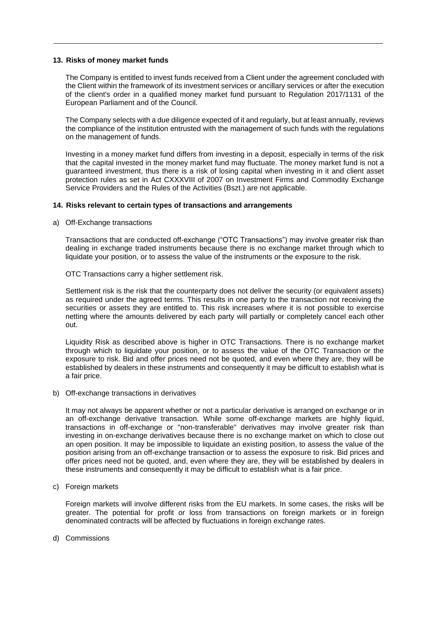#### **13. Risks of money market funds**

The Company is entitled to invest funds received from a Client under the agreement concluded with the Client within the framework of its investment services or ancillary services or after the execution of the client's order in a qualified money market fund pursuant to Regulation 2017/1131 of the European Parliament and of the Council.

The Company selects with a due diligence expected of it and regularly, but at least annually, reviews the compliance of the institution entrusted with the management of such funds with the regulations on the management of funds.

Investing in a money market fund differs from investing in a deposit, especially in terms of the risk that the capital invested in the money market fund may fluctuate. The money market fund is not a guaranteed investment, thus there is a risk of losing capital when investing in it and client asset protection rules as set in Act CXXXVIII of 2007 on Investment Firms and Commodity Exchange Service Providers and the Rules of the Activities (Bszt.) are not applicable.

#### **14. Risks relevant to certain types of transactions and arrangements**

#### a) Off-Exchange transactions

Transactions that are conducted off-exchange ("OTC Transactions") may involve greater risk than dealing in exchange traded instruments because there is no exchange market through which to liquidate your position, or to assess the value of the instruments or the exposure to the risk.

OTC Transactions carry a higher settlement risk.

Settlement risk is the risk that the counterparty does not deliver the security (or equivalent assets) as required under the agreed terms. This results in one party to the transaction not receiving the securities or assets they are entitled to. This risk increases where it is not possible to exercise netting where the amounts delivered by each party will partially or completely cancel each other out.

Liquidity Risk as described above is higher in OTC Transactions. There is no exchange market through which to liquidate your position, or to assess the value of the OTC Transaction or the exposure to risk. Bid and offer prices need not be quoted, and even where they are, they will be established by dealers in these instruments and consequently it may be difficult to establish what is a fair price.

b) Off-exchange transactions in derivatives

It may not always be apparent whether or not a particular derivative is arranged on exchange or in an off-exchange derivative transaction. While some off-exchange markets are highly liquid, transactions in off-exchange or "non-transferable" derivatives may involve greater risk than investing in on-exchange derivatives because there is no exchange market on which to close out an open position. It may be impossible to liquidate an existing position, to assess the value of the position arising from an off-exchange transaction or to assess the exposure to risk. Bid prices and offer prices need not be quoted, and, even where they are, they will be established by dealers in these instruments and consequently it may be difficult to establish what is a fair price.

c) Foreign markets

Foreign markets will involve different risks from the EU markets. In some cases, the risks will be greater. The potential for profit or loss from transactions on foreign markets or in foreign denominated contracts will be affected by fluctuations in foreign exchange rates.

d) Commissions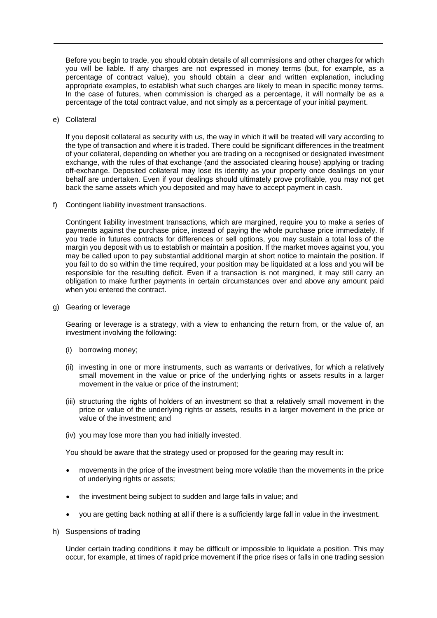Before you begin to trade, you should obtain details of all commissions and other charges for which you will be liable. If any charges are not expressed in money terms (but, for example, as a percentage of contract value), you should obtain a clear and written explanation, including appropriate examples, to establish what such charges are likely to mean in specific money terms. In the case of futures, when commission is charged as a percentage, it will normally be as a percentage of the total contract value, and not simply as a percentage of your initial payment.

e) Collateral

If you deposit collateral as security with us, the way in which it will be treated will vary according to the type of transaction and where it is traded. There could be significant differences in the treatment of your collateral, depending on whether you are trading on a recognised or designated investment exchange, with the rules of that exchange (and the associated clearing house) applying or trading off-exchange. Deposited collateral may lose its identity as your property once dealings on your behalf are undertaken. Even if your dealings should ultimately prove profitable, you may not get back the same assets which you deposited and may have to accept payment in cash.

f) Contingent liability investment transactions.

Contingent liability investment transactions, which are margined, require you to make a series of payments against the purchase price, instead of paying the whole purchase price immediately. If you trade in futures contracts for differences or sell options, you may sustain a total loss of the margin you deposit with us to establish or maintain a position. If the market moves against you, you may be called upon to pay substantial additional margin at short notice to maintain the position. If you fail to do so within the time required, your position may be liquidated at a loss and you will be responsible for the resulting deficit. Even if a transaction is not margined, it may still carry an obligation to make further payments in certain circumstances over and above any amount paid when you entered the contract.

g) Gearing or leverage

Gearing or leverage is a strategy, with a view to enhancing the return from, or the value of, an investment involving the following:

- (i) borrowing money;
- (ii) investing in one or more instruments, such as warrants or derivatives, for which a relatively small movement in the value or price of the underlying rights or assets results in a larger movement in the value or price of the instrument;
- (iii) structuring the rights of holders of an investment so that a relatively small movement in the price or value of the underlying rights or assets, results in a larger movement in the price or value of the investment; and
- (iv) you may lose more than you had initially invested.

You should be aware that the strategy used or proposed for the gearing may result in:

- movements in the price of the investment being more volatile than the movements in the price of underlying rights or assets;
- the investment being subject to sudden and large falls in value; and
- you are getting back nothing at all if there is a sufficiently large fall in value in the investment.
- h) Suspensions of trading

Under certain trading conditions it may be difficult or impossible to liquidate a position. This may occur, for example, at times of rapid price movement if the price rises or falls in one trading session